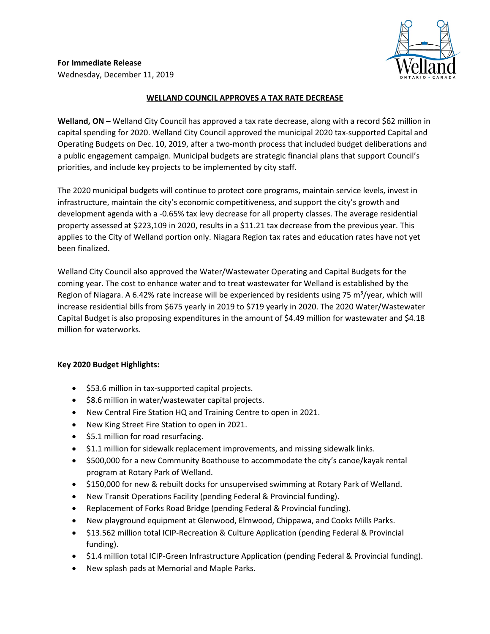

**For Immediate Release** Wednesday, December 11, 2019

## **WELLAND COUNCIL APPROVES A TAX RATE DECREASE**

**Welland, ON –** Welland City Council has approved a tax rate decrease, along with a record \$62 million in capital spending for 2020. Welland City Council approved the municipal 2020 tax-supported Capital and Operating Budgets on Dec. 10, 2019, after a two-month process that included budget deliberations and a public engagement campaign. Municipal budgets are strategic financial plans that support Council's priorities, and include key projects to be implemented by city staff.

The 2020 municipal budgets will continue to protect core programs, maintain service levels, invest in infrastructure, maintain the city's economic competitiveness, and support the city's growth and development agenda with a -0.65% tax levy decrease for all property classes. The average residential property assessed at \$223,109 in 2020, results in a \$11.21 tax decrease from the previous year. This applies to the City of Welland portion only. Niagara Region tax rates and education rates have not yet been finalized.

Welland City Council also approved the Water/Wastewater Operating and Capital Budgets for the coming year. The cost to enhance water and to treat wastewater for Welland is established by the Region of Niagara. A 6.42% rate increase will be experienced by residents using 75 m<sup>3</sup>/year, which will increase residential bills from \$675 yearly in 2019 to \$719 yearly in 2020. The 2020 Water/Wastewater Capital Budget is also proposing expenditures in the amount of \$4.49 million for wastewater and \$4.18 million for waterworks.

## **Key 2020 Budget Highlights:**

- \$53.6 million in tax-supported capital projects.
- \$8.6 million in water/wastewater capital projects.
- New Central Fire Station HQ and Training Centre to open in 2021.
- New King Street Fire Station to open in 2021.
- \$5.1 million for road resurfacing.
- \$1.1 million for sidewalk replacement improvements, and missing sidewalk links.
- \$500,000 for a new Community Boathouse to accommodate the city's canoe/kayak rental program at Rotary Park of Welland.
- \$150,000 for new & rebuilt docks for unsupervised swimming at Rotary Park of Welland.
- New Transit Operations Facility (pending Federal & Provincial funding).
- Replacement of Forks Road Bridge (pending Federal & Provincial funding).
- New playground equipment at Glenwood, Elmwood, Chippawa, and Cooks Mills Parks.
- \$13.562 million total ICIP-Recreation & Culture Application (pending Federal & Provincial funding).
- \$1.4 million total ICIP-Green Infrastructure Application (pending Federal & Provincial funding).
- New splash pads at Memorial and Maple Parks.